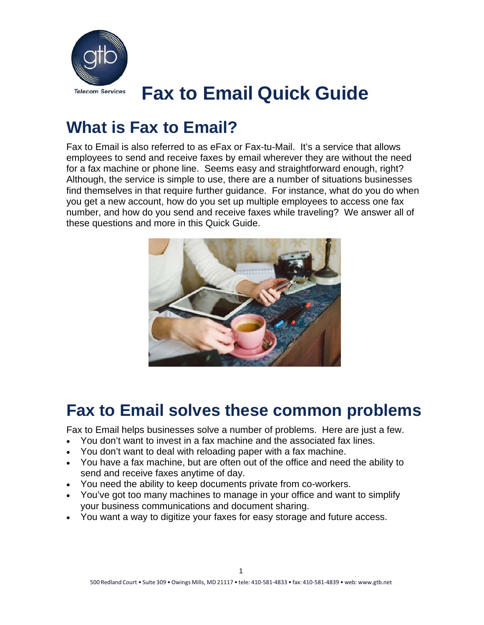

## **What is Fax to Email?**

Fax to Email is also referred to as eFax or Fax-tu-Mail. It's a service that allows employees to send and receive faxes by email wherever they are without the need for a fax machine or phone line. Seems easy and straightforward enough, right? Although, the service is simple to use, there are a number of situations businesses find themselves in that require further guidance. For instance, what do you do when you get a new account, how do you set up multiple employees to access one fax number, and how do you send and receive faxes while traveling? We answer all of these questions and more in this Quick Guide.



### **Fax to Email solves these common problems**

Fax to Email helps businesses solve a number of problems. Here are just a few.

- You don't want to invest in a fax machine and the associated fax lines.
- You don't want to deal with reloading paper with a fax machine.
- You have a fax machine, but are often out of the office and need the ability to send and receive faxes anytime of day.
- You need the ability to keep documents private from co-workers.
- You've got too many machines to manage in your office and want to simplify your business communications and document sharing.
- You want a way to digitize your faxes for easy storage and future access.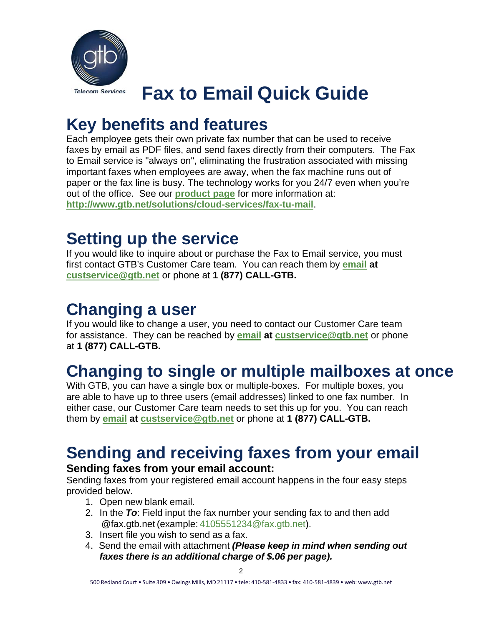

## **Key benefits and features**

Each employee gets their own private fax number that can be used to receive faxes by email as PDF files, and send faxes directly from their computers. The Fax to Email service is "always on", eliminating the frustration associated with missing important faxes when employees are away, when the fax machine runs out of paper or the fax line is busy. The technology works for you 24/7 even when you're out of the office. See our **[product page](http://www.gtb.net/solutions/cloud-services/fax-tu-mail)** for more information at: **<http://www.gtb.net/solutions/cloud-services/fax-tu-mail>**.

## **Setting up the service**

If you would like to inquire about or purchase the Fax to Email service, you must first contact GTB's Customer Care team. You can reach them by **[email](mailto:custservice@gtb.net) at [custservice@gtb.net](mailto:custservice@gtb.net)** or phone at **1 (877) CALL-GTB.** 

## **Changing a user**

If you would like to change a user, you need to contact our Customer Care team for assistance. They can be reached by **[email](mailto:custservice@gtb.net) at [custservice@gtb.net](mailto:custservice@gtb.net)** or phone at **1 (877) CALL-GTB.** 

## **Changing to single or multiple mailboxes at once**

With GTB, you can have a single box or multiple-boxes. For multiple boxes, you are able to have up to three users (email addresses) linked to one fax number. In either case, our Customer Care team needs to set this up for you. You can reach them by **[email](mailto:custservice@gtb.net) at [custservice@gtb.net](mailto:custservice@gtb.net)** or phone at **1 (877) CALL-GTB.**

# **Sending and receiving faxes from your email**

### **Sending faxes from your email account:**

Sending faxes from your registered email account happens in the four easy steps provided below.

- 1. Open new blank email.
- 2. In the *To*: Field input the fax number your sending fax to and then add @fax.gtb.net (example: 4105551234@fax.gtb.net).
- 3. Insert file you wish to send as a fax.
- 4. Send the email with attachment *(Please keep in mind when sending out faxes there is an additional charge of \$.06 per page).*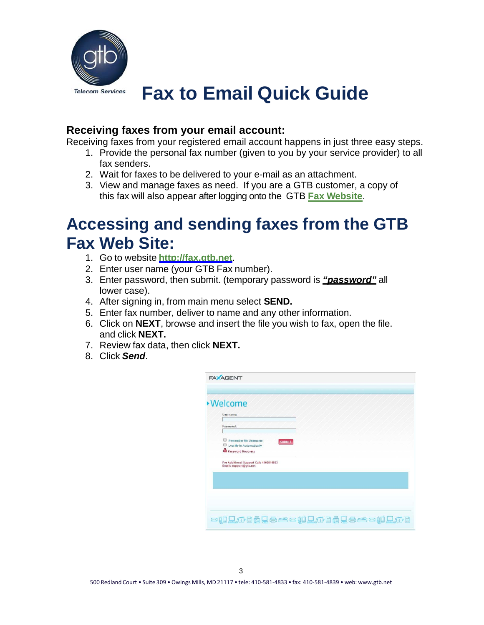

#### **Receiving faxes from your email account:**

Receiving faxes from your registered email account happens in just three easy steps.

- 1. Provide the personal fax number (given to you by your service provider) to all fax senders.
- 2. Wait for faxes to be delivered to your e-mail as an attachment.
- 3. View and manage faxes as need. If you are a GTB customer, a copy of this fax will also appear after logging onto the GTB **[Fax Website](https://fax.gtb.net/login.aspx?ReturnUrl=%2fxsuite%2fxms%2fdefault.aspx)**.

## **Accessing and sending faxes from the GTB Fax Web Site:**

- 1. Go to website **[http://fax.gtb.net](http://fax.gtb.net/)**.
- 2. Enter user name (your GTB Fax number).
- 3. Enter password, then submit. (temporary password is *"password"* all lower case).
- 4. After signing in, from main menu select **SEND.**
- 5. Enter fax number, deliver to name and any other information.
- 6. Click on **NEXT**, browse and insert the file you wish to fax, open the file. and click **NEXT.**
- 7. Review fax data, then click **NEXT.**
- 8. Click *Send*.

| Username:                                                            |               |  |
|----------------------------------------------------------------------|---------------|--|
| Password:                                                            |               |  |
| Remember My Username<br>Log Me In Automatically<br>Password Recovery | <b>SUBMIT</b> |  |
| For Additional Support Call: 4105814833<br>Email: support@gtb.net    |               |  |
|                                                                      |               |  |